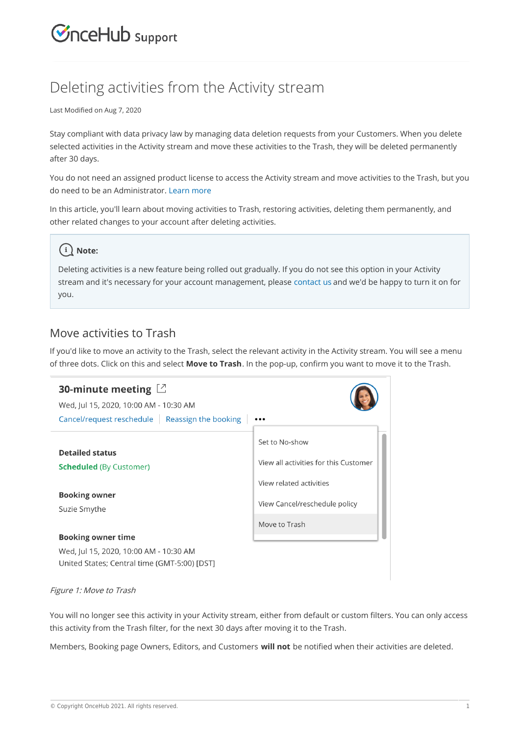## $\mathcal{\widetilde{S}}$ nceHub support

## Deleting activities from the Activity stream

Last Modified on Aug 7, 2020

Stay compliant with data privacy law by managing data deletion requests from your Customers. When you delete selected activities in the Activity stream and move these activities to the Trash, they will be deleted permanently after 30 days.

You do not need an assigned product license to access the Activity stream and move activities to the Trash, but you do need to be an Administrator. Learn more

In this article, you'll learn about moving activities to Trash, restoring activities, deleting them permanently, and other related changes to your account after deleting activities.

### **Note:**

Deleting activities is a new feature being rolled out gradually. If you do not see this option in your Activity stream and it's necessary for your account management, please contact us and we'd be happy to turn it on for you.

#### Move activities to Trash

If you'd like to move an activity to the Trash, select the relevant activity in the Activity stream. You will see a menu of three dots. Click on this and select **Move to Trash**. In the pop-up, confirm you want to move it to the Trash.

| 30-minute meeting $\Box$<br>Wed, Jul 15, 2020, 10:00 AM - 10:30 AM<br>Cancel/request reschedule $\parallel$ Reassign the booking |                                       |
|----------------------------------------------------------------------------------------------------------------------------------|---------------------------------------|
|                                                                                                                                  |                                       |
| <b>Detailed status</b>                                                                                                           | Set to No-show                        |
| <b>Scheduled</b> (By Customer)                                                                                                   | View all activities for this Customer |
|                                                                                                                                  | View related activities               |
| <b>Booking owner</b><br>Suzie Smythe                                                                                             | View Cancel/reschedule policy         |
|                                                                                                                                  | Move to Trash                         |
| <b>Booking owner time</b>                                                                                                        |                                       |
| Wed, Jul 15, 2020, 10:00 AM - 10:30 AM                                                                                           |                                       |

#### Figure 1: Move to Trash

United States; Central time (GMT-5:00) [DST]

You will no longer see this activity in your Activity stream, either from default or custom filters. You can only access this activity from the Trash filter, for the next 30 days after moving it to the Trash.

Members, Booking page Owners, Editors, and Customers **will not** be notified when their activities are deleted.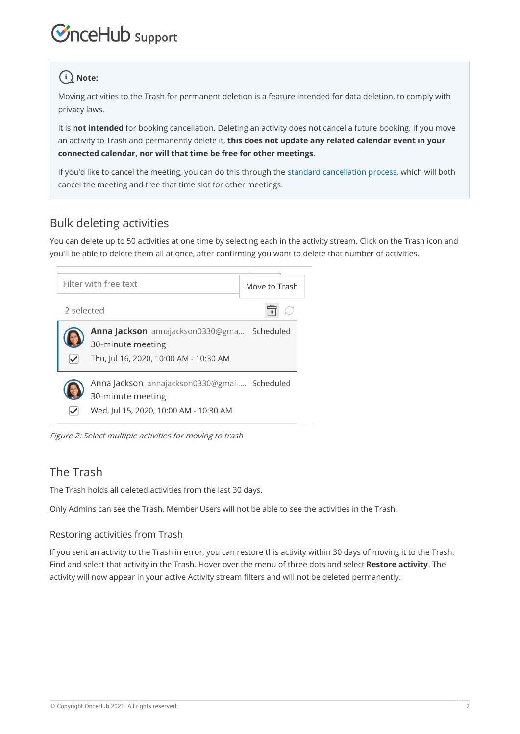# $\mathcal{\widetilde{S}}$ nceHub support

## $(i)$  Note:

Moving activities to the Trash for permanent deletion is a feature intended for data deletion, to comply with privacy laws.

It is **not intended** for booking cancellation. Deleting an activity does not cancel a future booking. If you move an activity to Trash and permanently delete it, **this does not update any related calendar event in your connected calendar, nor will that time be free for other meetings**.

If you'd like to cancel the meeting, you can do this through the standard cancellation process, which will both cancel the meeting and free that time slot for other meetings.

## Bulk deleting activities

You can delete up to 50 activities at one time by selecting each in the activity stream. Click on the Trash icon and you'll be able to delete them all at once, after confirming you want to delete that number of activities.





## The Trash

The Trash holds all deleted activities from the last 30 days.

Only Admins can see the Trash. Member Users will not be able to see the activities in the Trash.

#### Restoring activities from Trash

If you sent an activity to the Trash in error, you can restore this activity within 30 days of moving it to the Trash. Find and select that activity in the Trash. Hover over the menu of three dots and select **Restore activity**. The activity will now appear in your active Activity stream filters and will not be deleted permanently.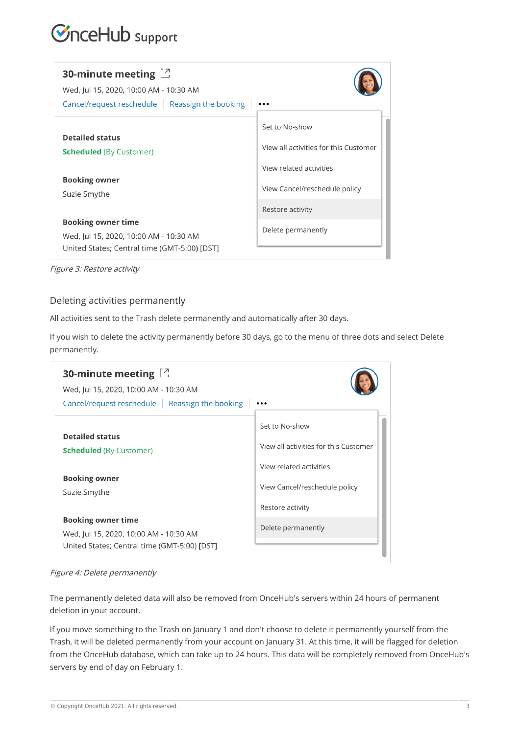## *InceHub* support

| 30-minute meeting $\Box$<br>Wed, Jul 15, 2020, 10:00 AM - 10:30 AM<br>Cancel/request reschedule   Reassign the booking |                                       |
|------------------------------------------------------------------------------------------------------------------------|---------------------------------------|
|                                                                                                                        | Set to No-show                        |
| <b>Detailed status</b><br><b>Scheduled</b> (By Customer)                                                               | View all activities for this Customer |
|                                                                                                                        | View related activities               |
| <b>Booking owner</b>                                                                                                   |                                       |
| Suzie Smythe                                                                                                           | View Cancel/reschedule policy         |
|                                                                                                                        | Restore activity                      |
| <b>Booking owner time</b>                                                                                              |                                       |
| Wed, Jul 15, 2020, 10:00 AM - 10:30 AM                                                                                 | Delete permanently                    |
| United States; Central time (GMT-5:00) [DST]                                                                           |                                       |

Figure 3: Restore activity

#### Deleting activities permanently

All activities sent to the Trash delete permanently and automatically after 30 days.

If you wish to delete the activity permanently before 30 days, go to the menu of three dots and select Delete permanently.



#### Figure 4: Delete permanently

The permanently deleted data will also be removed from OnceHub's servers within 24 hours of permanent deletion in your account.

If you move something to the Trash on January 1 and don't choose to delete it permanently yourself from the Trash, it will be deleted permanently from your account on January 31. At this time, it will be flagged for deletion from the OnceHub database, which can take up to 24 hours. This data will be completely removed from OnceHub's servers by end of day on February 1.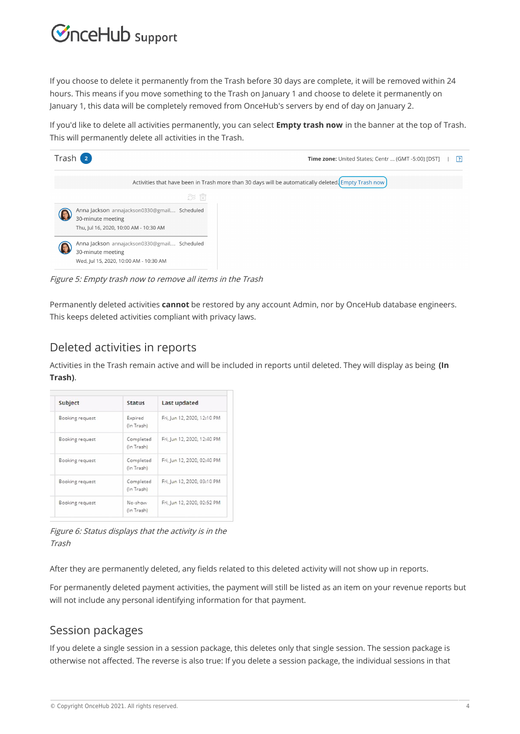## $\mathcal{\mathcal{G}}$ nceHub support

If you choose to delete it permanently from the Trash before 30 days are complete, it will be removed within 24 hours. This means if you move something to the Trash on January 1 and choose to delete it permanently on January 1, this data will be completely removed from OnceHub's servers by end of day on January 2.

If you'd like to delete all activities permanently, you can select **Empty trash now** in the banner at the top of Trash. This will permanently delete all activities in the Trash.

| Trash 2                                                                                                     | Time zone: United States; Centr  (GMT -5:00) [DST]<br>1?I                                           |
|-------------------------------------------------------------------------------------------------------------|-----------------------------------------------------------------------------------------------------|
|                                                                                                             | Activities that have been in Trash more than 30 days will be automatically deleted. Empty Trash now |
| $\widehat{\mathcal{D}}$ is $\widehat{\boxtimes}$                                                            |                                                                                                     |
| Anna Jackson annajackson0330@gmail Scheduled<br>30-minute meeting<br>Thu, Jul 16, 2020, 10:00 AM - 10:30 AM |                                                                                                     |
| Anna Jackson annajackson0330@gmail Scheduled<br>30-minute meeting<br>Wed, Jul 15, 2020, 10:00 AM - 10:30 AM |                                                                                                     |

Figure 5: Empty trash now to remove all items in the Trash

Permanently deleted activities **cannot** be restored by any account Admin, nor by OnceHub database engineers. This keeps deleted activities compliant with privacy laws.

### Deleted activities in reports

Activities in the Trash remain active and will be included in reports until deleted. They will display as being **(In Trash)**.

| Subject         | <b>Status</b>           | Last updated                |
|-----------------|-------------------------|-----------------------------|
| Booking request | Expired<br>(In Trash)   | Fri, Jun 12, 2020, 12:10 PM |
| Booking request | Completed<br>(In Trash) | Fri. Jun 12, 2020, 12:40 PM |
| Booking request | Completed<br>(In Trash) | Fri, Jun 12, 2020, 02:40 PM |
| Booking request | Completed<br>(In Trash) | Fri. Jun 12, 2020, 03:10 PM |
| Booking request | No-show<br>(In Trash)   | Fri, Jun 12, 2020, 02:52 PM |

Figure 6: Status displays that the activity is in the Trash

After they are permanently deleted, any fields related to this deleted activity will not show up in reports.

For permanently deleted payment activities, the payment will still be listed as an item on your revenue reports but will not include any personal identifying information for that payment.

### Session packages

If you delete a single session in a session package, this deletes only that single session. The session package is otherwise not affected. The reverse is also true: If you delete a session package, the individual sessions in that